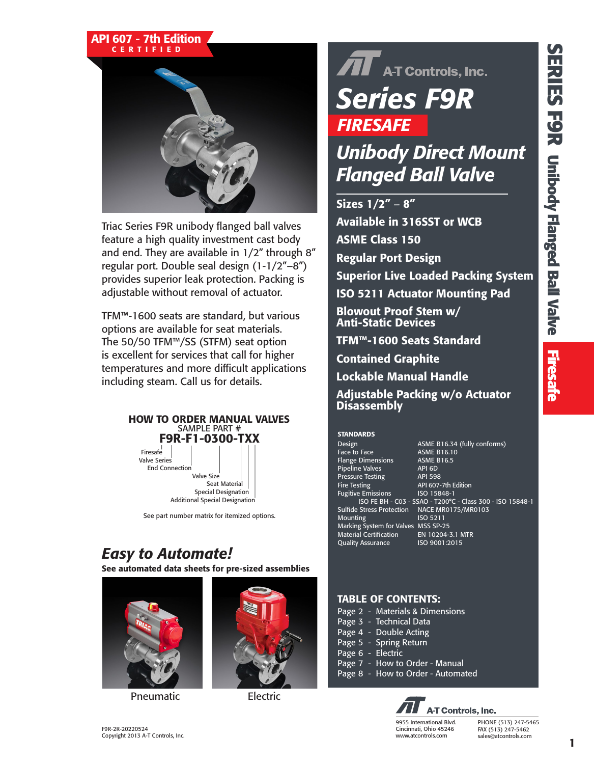#### API 607 - 7th Edition CERTIFIED



Triac Series F9R unibody flanged ball valves feature a high quality investment cast body and end. They are available in 1/2" through 8" regular port. Double seal design (1-1/2"–8") provides superior leak protection. Packing is adjustable without removal of actuator.

TFM™-1600 seats are standard, but various options are available for seat materials. The 50/50 TFM™/SS (STFM) seat option is excellent for services that call for higher temperatures and more difficult applications including steam. Call us for details.



See part number matrix for itemized options.

## *Easy to Automate!*

See automated data sheets for pre-sized assemblies



Pneumatic Electric



# $\widehat{\mathbf{A}}$  A-T Controls, Inc. *Series F9R FIRESAFE*

## *Unibody Direct Mount Flanged Ball Valve*

Sizes 1/2" – 8" Available in 316SST or WCB ASME Class 150 Regular Port Design Superior Live Loaded Packing System ISO 5211 Actuator Mounting Pad Blowout Proof Stem w/ Anti-Static Devices TFM™-1600 Seats Standard Contained Graphite

Lockable Manual Handle

Adjustable Packing w/o Actuator **Disassembly** 

#### **STANDARDS**

Face to Face **ASME B16.10** Flange Dimensions ASME B16.5<br>Pipeline Valves API 6D Pipeline Valves API 6D<br>Pressure Testing API 598 Pressure Testing<br>Fire Testing Fugitive Emissions ISO 15848-1 Sulfide Stress Protection NACE MR0175/MR0103 Mounting **ISO 5211** Marking System for Valves MSS SP-25<br>Material Certification EN 10204-3.1 MTR Material Certification Quality Assurance ISO 9001:2015

Design **ASME B16.34** (fully conforms) API 607-7th Edition ISO FE BH - C03 - SSAO - T200°C - Class 300 - ISO 15848-1

#### TABLE OF CONTENTS:

Page 2 - Materials & Dimensions Page 3 - Technical Data Page 4 - Double Acting Page 5 - Spring Return Page 6 - Electric Page 7 - How to Order - Manual Page 8 - How to Order - Automated

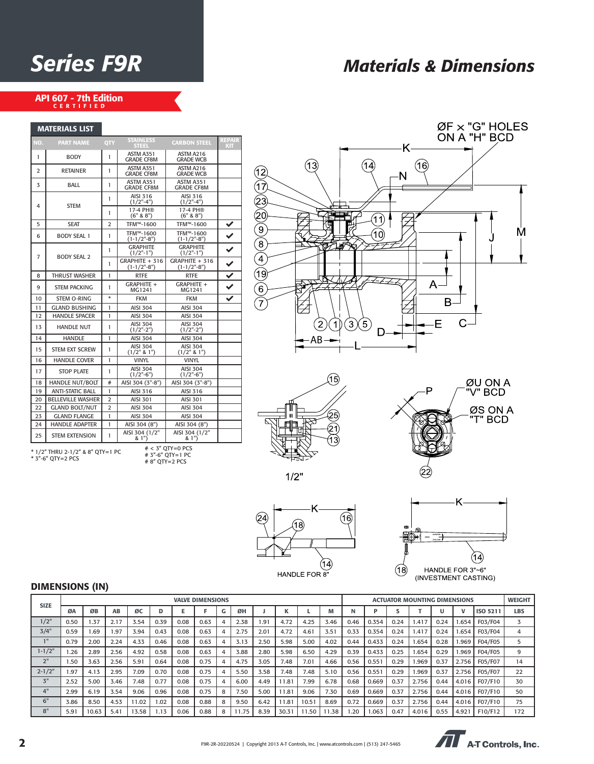## *Series F9R Materials & Dimensions*

## API 607 - 7th Edition<br>CERTIFIED

MATERIALS LIST

|                | <b>MAIERIALS LIST</b>                                                                                             |                |                                       |                                       |                             |  |  |  |  |
|----------------|-------------------------------------------------------------------------------------------------------------------|----------------|---------------------------------------|---------------------------------------|-----------------------------|--|--|--|--|
| NO.            | <b>PART NAME</b>                                                                                                  | QTY            | <b>STAINLESS</b><br><b>STEEL</b>      | <b>CARBON STEEL</b>                   | <b>REPAIR</b><br><b>KIT</b> |  |  |  |  |
| 1              | <b>BODY</b>                                                                                                       | 1              | ASTM A351<br><b>GRADE CF8M</b>        | ASTM A216<br><b>GRADE WCB</b>         |                             |  |  |  |  |
| $\overline{2}$ | <b>RETAINER</b>                                                                                                   | 1              | ASTM A351<br><b>GRADE CF8M</b>        | ASTM A216<br><b>GRADE WCB</b>         |                             |  |  |  |  |
| 3              | BALL                                                                                                              | 1              | <b>ASTM A351</b><br><b>GRADE CF8M</b> | <b>ASTM A351</b><br><b>GRADE CF8M</b> |                             |  |  |  |  |
| 4              | <b>STEM</b>                                                                                                       | 1              | AISI 316<br>$(1/2" - 4")$             | AISI 316<br>$(1/2" - 4")$             |                             |  |  |  |  |
|                |                                                                                                                   | 1              | 17-4 PH®<br>(6" 8 8")                 | 17-4 PH®<br>(6" 8 8")                 |                             |  |  |  |  |
| 5              | <b>SEAT</b>                                                                                                       | $\overline{2}$ | TFM™-1600                             | TFM™-1600                             | ✓                           |  |  |  |  |
| 6              | <b>BODY SEAL 1</b>                                                                                                | 1              | TFM™-1600<br>$(1-1/2" - 8")$          | TFM™-1600<br>$(1-1/2" - 8")$          |                             |  |  |  |  |
| 7              | <b>BODY SEAL 2</b>                                                                                                | 1              | <b>GRAPHITE</b><br>$(1/2"$ -1")       | <b>GRAPHITE</b><br>$(1/2"$ -1")       | $\checkmark$                |  |  |  |  |
|                |                                                                                                                   | 1              | $GRAPHITE + 316$<br>$(1-1/2" - 8")$   | $GRAPHITE + 316$<br>$(1-1/2" - 8")$   | $\checkmark$                |  |  |  |  |
| 8              | <b>THRUST WASHER</b>                                                                                              | 1              | <b>RTFE</b>                           | <b>RTFE</b>                           | $\overline{\checkmark}$     |  |  |  |  |
| 9              | <b>STEM PACKING</b>                                                                                               | 1              | GRAPHITE +<br>MG1241                  | GRAPHITE +<br>MG1241                  | $\checkmark$                |  |  |  |  |
| 10             | <b>STEM O-RING</b>                                                                                                | $\star$        | <b>FKM</b>                            | <b>FKM</b>                            | ✓                           |  |  |  |  |
| 11             | <b>GLAND BUSHING</b>                                                                                              | 1              | <b>AISI 304</b>                       | <b>AISI 304</b>                       |                             |  |  |  |  |
| 12             | <b>HANDLE SPACER</b>                                                                                              | 1              | <b>AISI 304</b>                       | AISI 304                              |                             |  |  |  |  |
| 13             | <b>HANDLE NUT</b>                                                                                                 | 1              | <b>AISI 304</b><br>$(1/2"$ -2")       | <b>AISI 304</b><br>$(1/2"$ -2")       |                             |  |  |  |  |
| 14             | <b>HANDLE</b>                                                                                                     | 1              | <b>AISI 304</b>                       | <b>AISI 304</b>                       |                             |  |  |  |  |
| 15             | <b>STEM EXT SCREW</b>                                                                                             | 1              | <b>AISI 304</b><br>(1/2" 8 1")        | <b>AISI 304</b><br>$(1/2"$ & 1")      |                             |  |  |  |  |
| 16             | <b>HANDLE COVER</b>                                                                                               | 1              | <b>VINYL</b>                          | <b>VINYL</b>                          |                             |  |  |  |  |
| 17             | <b>STOP PLATE</b>                                                                                                 | 1              | <b>AISI 304</b><br>$(1/2" - 6")$      | <b>AISI 304</b><br>$(1/2" - 6")$      |                             |  |  |  |  |
| 18             | HANDLE NUT/BOLT                                                                                                   | #              | AISI 304 (3"-8")                      | AISI 304 (3"-8")                      |                             |  |  |  |  |
| 19             | <b>ANTI-STATIC BALL</b>                                                                                           | 1              | AISI 316                              | AISI 316                              |                             |  |  |  |  |
| 20             | <b>BELLEVILLE WASHER</b>                                                                                          | $\overline{2}$ | <b>AISI 301</b>                       | AISI 301                              |                             |  |  |  |  |
| 22             | <b>GLAND BOLT/NUT</b>                                                                                             | $\overline{2}$ | <b>AISI 304</b>                       | <b>AISI 304</b>                       |                             |  |  |  |  |
| 23             | <b>GLAND FLANGE</b>                                                                                               | 1              | <b>AISI 304</b>                       | <b>AISI 304</b>                       |                             |  |  |  |  |
| 24             | <b>HANDLE ADAPTER</b>                                                                                             | 1              | AISI 304 (8")                         | AISI 304 (8")                         |                             |  |  |  |  |
| 25             | <b>STEM EXTENSION</b>                                                                                             | 1              | AISI 304 (1/2"<br>& 1")               | AISI 304 (1/2"<br>& 1")               |                             |  |  |  |  |
|                | $# < 3"$ OTY=0 PCS<br>* 1/2" THRU 2-1/2" & 8" QTY=1 PC<br># 3"-6" QTY=1 PC<br>* 3"-6" QTY=2 PCS<br># 8" QTY=2 PCS |                |                                       |                                       |                             |  |  |  |  |







 $1/2"$ 





#### DIMENSIONS (IN)

|                 |      |       |      |       |      |      | <b>VALVE DIMENSIONS</b> |                |       |      |       |       |      |      |       |      | <b>ACTUATOR MOUNTING DIMENSIONS</b> |      |       |          | <b>WEIGHT</b> |
|-----------------|------|-------|------|-------|------|------|-------------------------|----------------|-------|------|-------|-------|------|------|-------|------|-------------------------------------|------|-------|----------|---------------|
| <b>SIZE</b>     | ØΑ   | ØB    | AB   | ØC    | D    | E    |                         | G              | ØH    |      |       |       | M    | N    |       |      |                                     |      | v     | ISO 5211 | <b>LBS</b>    |
| $1/2$ "         | 0.50 | 1.37  | 2.17 | 3.54  | 0.39 | 0.08 | 0.63                    | $\overline{4}$ | 2.38  | 1.91 | 4.72  | 4.25  | 3.46 | 0.46 | 0.354 | 0.24 | 1.417                               | 0.24 | 1.654 | F03/F04  | 3             |
| 3/4"            | 0.59 | 1.69  | 1.97 | 3.94  | 0.43 | 0.08 | 0.63                    | 4              | 2.75  | 2.01 | 4.72  | 4.61  | 3.51 | 0.33 | 0.354 | 0.24 | 1.417                               | 0.24 | 1.654 | F03/F04  | 4             |
| 1 <sup>11</sup> | 0.79 | 2.00  | 2.24 | 4.33  | 0.46 | 0.08 | 0.63                    | 4              | 3.13  | 2.50 | 5.98  | 5.00  | 4.02 | 0.44 | 0.433 | 0.24 | 1.654                               | 0.28 | 1.969 | F04/F05  | 5             |
| $1 - 1/2"$      | .26  | 2.89  | 2.56 | 4.92  | 0.58 | 0.08 | 0.63                    | 4              | 3.88  | 2.80 | 5.98  | 6.50  | 4.29 | 0.39 | 0.433 | 0.25 | 1.654                               | 0.29 | 969.  | F04/F05  | 9             |
| 2"              | 1.50 | 3.63  | 2.56 | 5.91  | 0.64 | 0.08 | 0.75                    | 4              | 4.75  | 3.05 | 7.48  | 7.01  | 4.66 | 0.56 | 0.551 | 0.29 | 1.969                               | 0.37 | 2.756 | F05/F07  | 14            |
| $2 - 1/2"$      | i.97 | 4.13  | 2.95 | 7.09  | 0.70 | 0.08 | 0.75                    | 4              | 5.50  | 3.58 | 7.48  | 7.48  | 5.10 | 0.56 | 0.551 | 0.29 | 1.969                               | 0.37 | 2.756 | F05/F07  | 22            |
| 3"              | 2.52 | 5.00  | 3.46 | 7.48  | 0.77 | 0.08 | 0.75                    | $\overline{a}$ | 6.00  | 4.49 | 11.81 | 7.99  | 6.78 | 0.68 | 0.669 | 0.37 | 2.756                               | 0.44 | 4.016 | F07/F10  | 30            |
| 4"              | 2.99 | 6.19  | 3.54 | 9.06  | 0.96 | 0.08 | 0.75                    | 8              | 7.50  | 5.00 | 11.81 | 9.06  | 7.30 | 0.69 | 0.669 | 0.37 | 2.756                               | 0.44 | 4.016 | F07/F10  | 50            |
| 6"              | 3.86 | 8.50  | 4.53 | 11.02 | 1.02 | 0.08 | 0.88                    | 8              | 9.50  | 6.42 | 11.81 | 10.51 | 8.69 | 0.72 | 0.669 | 0.37 | 2.756                               | 0.44 | 4.016 | F07/F10  | 75            |
| 8"              | 5.91 | 10.63 | 5.41 | 13.58 | .13  | 0.06 | 0.88                    | 8              | 11.75 | 8.39 | 30.31 | 11.50 | 1.38 | 1.20 | 1.063 | 0.47 | 4.016                               | 0.55 | 4.921 | F10/F12  | 172           |

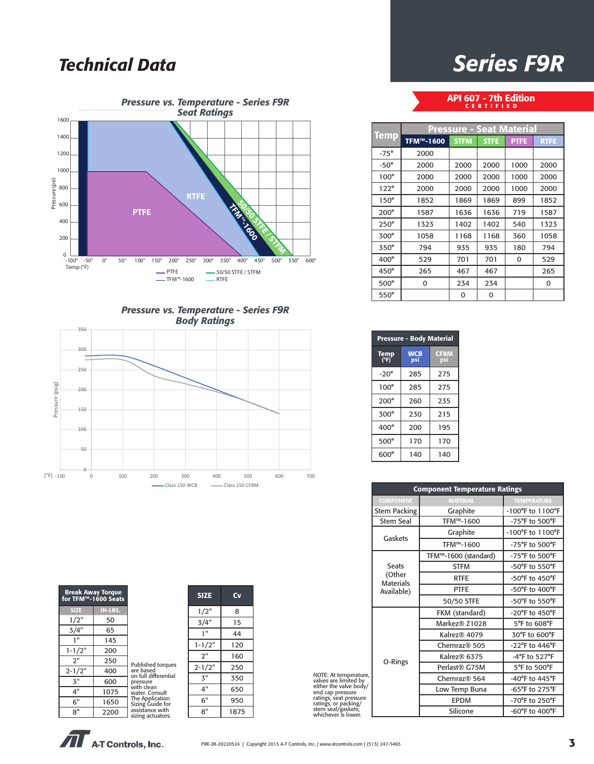## *Technical Data*



*Pressure vs. Temperature - Series F9R Body Ratings*



| <b>Break Away Torque</b><br>for TFM™-1600 Seats |         |                                      |
|-------------------------------------------------|---------|--------------------------------------|
| <b>SIZE</b>                                     | IN-LBS. |                                      |
| 1/2"                                            | 50      |                                      |
| 3/4"                                            | 65      |                                      |
| 1"                                              | 145     |                                      |
| $1 - 1/2"$                                      | 200     |                                      |
| 2"                                              | 250     | Published torques                    |
| $2 - 1/2"$                                      | 400     | are based<br>on full differential    |
| $\mathbf{3}^{\mathsf{H}}$                       | 600     | pressure                             |
| 4"                                              | 1075    | with clean<br>water. Consult         |
| 6"                                              | 1650    | The Application<br>Sizing Guide for  |
| 8''                                             | 2200    | assistance with<br>sizing actuators. |

| <b>SIZE</b> | Cv   |
|-------------|------|
| 1/2"        | 8    |
| 3/4"        | 15   |
| 1"          | 44   |
| $1 - 1/2"$  | 120  |
| 2"          | 160  |
| $2 - 1/2"$  | 250  |
| 3"          | 350  |
| 4"          | 650  |
| 6"          | 950  |
| 8"          | 1875 |



API 607 - 7th Edition CERTIFIED

|             | <b>Pressure - Seat Material</b> |             |             |             |             |  |  |  |  |  |
|-------------|---------------------------------|-------------|-------------|-------------|-------------|--|--|--|--|--|
| <b>Temp</b> | TFM™-1600                       | <b>STFM</b> | <b>STFE</b> | <b>PTFE</b> | <b>RTFE</b> |  |  |  |  |  |
| $-75^\circ$ | 2000                            |             |             |             |             |  |  |  |  |  |
| $-50^\circ$ | 2000                            | 2000        | 2000        | 1000        | 2000        |  |  |  |  |  |
| $100^\circ$ | 2000                            | 2000        | 2000        | 1000        | 2000        |  |  |  |  |  |
| $122^\circ$ | 2000                            | 2000        | 2000        | 1000        | 2000        |  |  |  |  |  |
| $150^\circ$ | 1852                            | 1869        | 1869        | 899         | 1852        |  |  |  |  |  |
| $200^\circ$ | 1587                            | 1636        | 1636        | 719         | 1587        |  |  |  |  |  |
| $250^\circ$ | 1323                            | 1402        | 1402        | 540         | 1323        |  |  |  |  |  |
| $300^\circ$ | 1058                            | 1168        | 1168        | 360         | 1058        |  |  |  |  |  |
| 350°        | 794                             | 935         | 935         | 180         | 794         |  |  |  |  |  |
| 400°        | 529                             | 701         | 701         | 0           | 529         |  |  |  |  |  |
| $450^\circ$ | 265                             | 467         | 467         |             | 265         |  |  |  |  |  |
| 500°        | 0                               | 234         | 234         |             | 0           |  |  |  |  |  |
| $550^\circ$ |                                 | 0           | 0           |             |             |  |  |  |  |  |

| <b>Pressure - Body Material</b> |                   |                    |  |  |  |  |  |  |
|---------------------------------|-------------------|--------------------|--|--|--|--|--|--|
| Temp<br>(°F)                    | <b>WCB</b><br>psi | <b>CF8M</b><br>psi |  |  |  |  |  |  |
| $-20^\circ$                     | 285               | 275                |  |  |  |  |  |  |
| $100^\circ$                     | 285               | 275                |  |  |  |  |  |  |
| $200^\circ$                     | 260               | 235                |  |  |  |  |  |  |
| $300^\circ$                     | 230               | 215                |  |  |  |  |  |  |
| $400^\circ$                     | 200               | 195                |  |  |  |  |  |  |
| $500^\circ$                     | 170               | 170                |  |  |  |  |  |  |
| 600°                            | 140               | 140                |  |  |  |  |  |  |

|                                                                                             | <b>Component Temperature Ratings</b>     |                          |                                      |  |  |  |  |
|---------------------------------------------------------------------------------------------|------------------------------------------|--------------------------|--------------------------------------|--|--|--|--|
|                                                                                             | <b>COMPONENT</b>                         | <b>MATERIAL</b>          | <b>TEMPERATURE</b>                   |  |  |  |  |
|                                                                                             | <b>Stem Packing</b>                      | Graphite                 | $-100^{\circ}$ F to $1100^{\circ}$ F |  |  |  |  |
|                                                                                             | <b>Stem Seal</b>                         | TFM™-1600                | -75°F to 500°F                       |  |  |  |  |
|                                                                                             | Gaskets                                  | Graphite                 | $-100^{\circ}$ F to $1100^{\circ}$ F |  |  |  |  |
|                                                                                             |                                          | TFM™-1600                | $-75^{\circ}$ F to $500^{\circ}$ F   |  |  |  |  |
|                                                                                             |                                          | TFM™-1600 (standard)     | $-75^{\circ}$ F to $500^{\circ}$ F   |  |  |  |  |
|                                                                                             | <b>Seats</b>                             | <b>STFM</b>              | -50°F to 550°F                       |  |  |  |  |
|                                                                                             | (Other<br><b>Materials</b><br>Available) | <b>RTFE</b>              | -50°F to 450°F                       |  |  |  |  |
|                                                                                             |                                          | <b>PTFE</b>              | -50°F to 400°F                       |  |  |  |  |
|                                                                                             |                                          | 50/50 STFE               | $-50^{\circ}$ F to $550^{\circ}$ F   |  |  |  |  |
|                                                                                             |                                          | FKM (standard)           | $-20^{\circ}$ F to $450^{\circ}$ F   |  |  |  |  |
|                                                                                             |                                          | Markez® Z1028            | 5°F to 608°F                         |  |  |  |  |
|                                                                                             |                                          | Kalrez® 4079             | 30°F to 600°F                        |  |  |  |  |
|                                                                                             |                                          | Chemraz <sup>®</sup> 505 | $-22^{\circ}$ F to 446 $^{\circ}$ F  |  |  |  |  |
|                                                                                             |                                          | Kalrez® 6375             | -4°F to 527°F                        |  |  |  |  |
|                                                                                             | O-Rings                                  | Perlast® G75M            | 5°F to 500°F                         |  |  |  |  |
| NOTE: At temperature,<br>valves are limited by<br>either the valve body/                    |                                          | Chemraz® 564             | -40°F to 445°F                       |  |  |  |  |
| end cap pressure                                                                            |                                          | Low Temp Buna            | -65°F to 275°F                       |  |  |  |  |
|                                                                                             |                                          | <b>EPDM</b>              | -70°F to 250°F                       |  |  |  |  |
| ratings, seat pressure<br>ratings, or packing/<br>stem seal/gaskets;<br>whichever is lower. |                                          | Silicone                 | $-60^{\circ}$ F to $400^{\circ}$ F   |  |  |  |  |

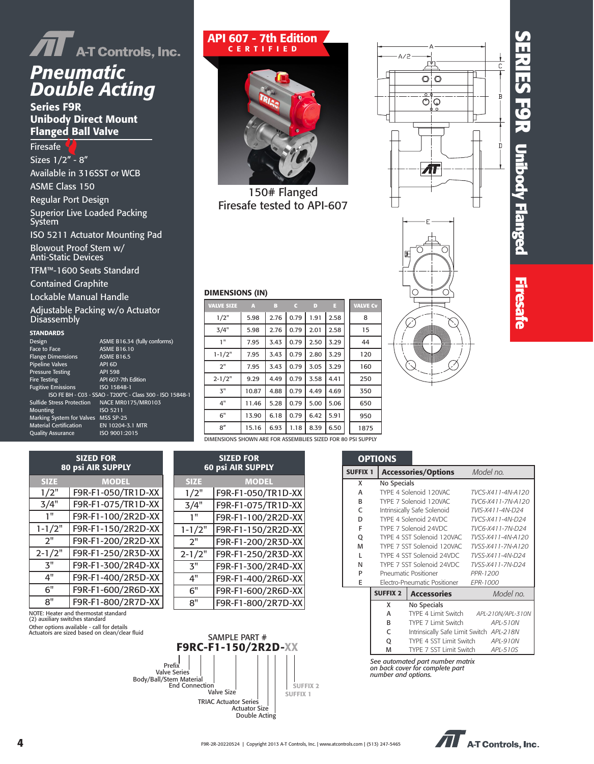

## *Pneumatic Double Acting*

Series F9R Unibody Direct Mount Flanged Ball Valve

Firesafe Sizes 1/2" - 8" Available in 316SST or WCB ASME Class 150 Regular Port Design Superior Live Loaded Packing System ISO 5211 Actuator Mounting Pad Blowout Proof Stem w/ Anti-Static Devices

TFM™-1600 Seats Standard

Contained Graphite

Lockable Manual Handle

Adjustable Packing w/o Actuator **Disassembly** 

SIZED FOR 80 psi AIR SUPPLY SIZE MODEL 1/2" F9R-F1-050/TR1D-XX 3/4" F9R-F1-075/TR1D-XX 1" F9R-F1-100/2R2D-XX 1-1/2" F9R-F1-150/2R2D-XX 2" F9R-F1-200/2R2D-XX 2-1/2" F9R-F1-250/2R3D-XX 3" F9R-F1-300/2R4D-XX 4" F9R-F1-400/2R5D-XX 6" F9R-F1-600/2R6D-XX 8" F9R-F1-800/2R7D-XX

NOTE: Heater and thermostat standard (2) auxiliary switches standard Other options available - call for details Actuators are sized based on clean/clear fluid

#### **STANDARDS**

| Design                           | <b>AS</b>  |
|----------------------------------|------------|
| Face to Face                     | <b>AS</b>  |
| <b>Flange Dimensions</b>         | <b>AS</b>  |
| <b>Pipeline Valves</b>           | AP         |
| <b>Pressure Testing</b>          | AP         |
| <b>Fire Testing</b>              | <b>AP</b>  |
| <b>Fugitive Emissions</b>        | <b>ISC</b> |
| ISO FE BH - C03 - SSAO           |            |
| <b>Sulfide Stress Protection</b> | <b>NA</b>  |
| Mounting                         | <b>ISC</b> |
| Marking System for Valves MS     |            |
| <b>Material Certification</b>    | EN         |
| <b>Ouality Assurance</b>         | <b>ISC</b> |

#### ME B16.34 (fully conforms) ME B16.10 ME B16.5 l 6D | 598 607-7th Edition  $15848-1$ T200°C - Class 300 - ISO 15848-1 CE MR0175/MR0103  $05211$  $S$  SP-25 10204-3.1 MTR 9001:2015

| <b>API 607 - 7th Edition</b><br><b>CERTIFIED</b> |  |
|--------------------------------------------------|--|
|                                                  |  |

150# Flanged Firesafe tested to API-607

| <b>VALVE SIZE</b>                                          | A     | в    | C    | D    | E    | <b>VALVE Cv</b> |
|------------------------------------------------------------|-------|------|------|------|------|-----------------|
| 1/2"                                                       | 5.98  | 2.76 | 0.79 | 1.91 | 2.58 | 8               |
| 3/4"                                                       | 5.98  | 2.76 | 0.79 | 2.01 | 2.58 | 15              |
| 1"                                                         | 7.95  | 3.43 | 0.79 | 2.50 | 3.29 | 44              |
| $1 - 1/2"$                                                 | 7.95  | 3.43 | 0.79 | 2.80 | 3.29 | 120             |
| 2"                                                         | 7.95  | 3.43 | 0.79 | 3.05 | 3.29 | 160             |
| $2 - 1/2"$                                                 | 9.29  | 4.49 | 0.79 | 3.58 | 4.41 | 250             |
| 3"                                                         | 10.87 | 4.88 | 0.79 | 4.49 | 4.69 | 350             |
| 4"                                                         | 11.46 | 5.28 | 0.79 | 5.00 | 5.06 | 650             |
| 6"                                                         | 13.90 | 6.18 | 0.79 | 6.42 | 5.91 | 950             |
| 8''                                                        | 15.16 | 6.93 | 1.18 | 8.39 | 6.50 | 1875            |
| IMENSIONS SHOWN ARE FOR ASSEMBLIES SIZED FOR 80 PSI SUPPLY |       |      |      |      |      |                 |



### DIMENSIONS (IN)

SIZED FOR 60 psi AIR SUPPLY SIZE MODEL 1/2" F9R-F1-050/TR1D-XX 3/4" F9R-F1-075/TR1D-XX 1" F9R-F1-100/2R2D-XX 1-1/2" F9R-F1-150/2R2D-XX 2" F9R-F1-200/2R3D-XX 2-1/2" F9R-F1-250/2R3D-XX 3" F9R-F1-300/2R4D-XX 4" F9R-F1-400/2R6D-XX 6" F9R-F1-600/2R6D-XX 8" F9R-F1-800/2R7D-XX

SAMPLE PART # F9RC-F1-150/2R2D-XX

> Actuator Size Double Acting

 Valve Size TRIAC Actuator Series

 Valve Series Prefix Body/Ball/Stem Material End Connection

| VALVE SIZE                                                  | 7 i 1 | 19   |      | .    |      | Mathy and the |
|-------------------------------------------------------------|-------|------|------|------|------|---------------|
| 1/2"                                                        | 5.98  | 2.76 | 0.79 | 1.91 | 2.58 | 8             |
| 3/4"                                                        | 5.98  | 2.76 | 0.79 | 2.01 | 2.58 | 15            |
| 1"                                                          | 7.95  | 3.43 | 0.79 | 2.50 | 3.29 | 44            |
| $1 - 1/2"$                                                  | 7.95  | 3.43 | 0.79 | 2.80 | 3.29 | 120           |
| 2"                                                          | 7.95  | 3.43 | 0.79 | 3.05 | 3.29 | 160           |
| $2 - 1/2"$                                                  | 9.29  | 4.49 | 0.79 | 3.58 | 4.41 | 250           |
| 3"                                                          | 10.87 | 4.88 | 0.79 | 4.49 | 4.69 | 350           |
| 4"                                                          | 11.46 | 5.28 | 0.79 | 5.00 | 5.06 | 650           |
| 6"                                                          | 13.90 | 6.18 | 0.79 | 6.42 | 5.91 | 950           |
| 8''                                                         | 15.16 | 6.93 | 1.18 | 8.39 | 6.50 | 1875          |
| DIMENSIONS SHOWN ARE FOR ASSEMBLIES SIZED FOR 80 PSI SUPPLY |       |      |      |      |      |               |

|                 | <b>OPTIONS</b>  |                                          |                   |  |  |  |
|-----------------|-----------------|------------------------------------------|-------------------|--|--|--|
| <b>SUFFIX 1</b> |                 | <b>Accessories/Options</b>               | Model no.         |  |  |  |
| x               | No Specials     |                                          |                   |  |  |  |
| A               |                 | TYPE 4 Solenoid 120VAC                   | TVCS-X411-4N-A120 |  |  |  |
| B               |                 | TYPE 7 Solenoid 120VAC                   | TVC6-X411-7N-A120 |  |  |  |
| C               |                 | Intrinsically Safe Solenoid              | TVIS-X411-4N-D24  |  |  |  |
| D               |                 | TYPE 4 Solenoid 24VDC                    | TVCS-X411-4N-D24  |  |  |  |
| F               |                 | TYPE 7 Solenoid 24VDC                    | TVC6-X411-7N-D24  |  |  |  |
| Q               |                 | TYPE 4 SST Solenoid 120VAC               | TVSS-X411-4N-A120 |  |  |  |
| M               |                 | TYPE 7 SST Solenoid 120VAC               | TVSS-X411-7N-A120 |  |  |  |
| L               |                 | TYPE 4 SST Solenoid 24VDC                | TVSS-X411-4N-D24  |  |  |  |
| N               |                 | TYPE 7 SST Solenoid 24VDC                | TVSS-X411-7N-D24  |  |  |  |
| P               |                 | <b>Pneumatic Positioner</b>              | PPR-1200          |  |  |  |
| E               |                 | Electro-Pneumatic Positioner             | <b>FPR-1000</b>   |  |  |  |
|                 | <b>SUFFIX 2</b> | <b>Accessories</b>                       | Model no.         |  |  |  |
|                 | X               | No Specials                              |                   |  |  |  |
|                 | А               | TYPE 4 Limit Switch                      | APL-210N/APL-310N |  |  |  |
|                 | B               | TYPE 7 Limit Switch                      | APL-510N          |  |  |  |
|                 | C               | Intrinsically Safe Limit Switch APL-218N |                   |  |  |  |
|                 | Q               | TYPE 4 SST Limit Switch                  | API-910N          |  |  |  |
|                 | M               | TYPE 7 SST Limit Switch                  | APL-510S          |  |  |  |
|                 |                 | See automated part number matrix         |                   |  |  |  |

*See automated part number matrix on back cover for complete part number and options.*



SUFFIX 1 SUFFIX 2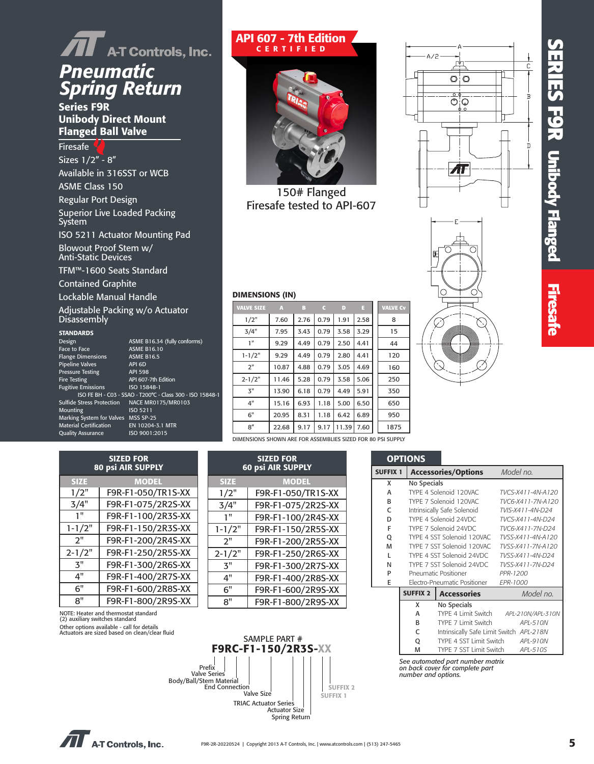# **SERIES F 9 R Unibody Flanged Firesafe Firesa**



Series F9R Unibody Direct Mount Flanged Ball Valve

Firesafe Sizes 1/2" - 8" Available in 316SST or WCB ASME Class 150 Regular Port Design Superior Live Loaded Packing System ISO 5211 Actuator Mounting Pad Blowout Proof Stem w/ Anti-Static Devices

TFM™-1600 Seats Standard

Contained Graphite

Lockable Manual Handle

Adjustable Packing w/o Actuator Disassembly

#### **STANDARDS**

| Design                              | ASME B16.34 (fully conforms)                              |
|-------------------------------------|-----------------------------------------------------------|
| Face to Face                        | <b>ASME B16.10</b>                                        |
| <b>Flange Dimensions</b>            | <b>ASME B16.5</b>                                         |
| <b>Pipeline Valves</b>              | API 6D                                                    |
| <b>Pressure Testing</b>             | <b>API 598</b>                                            |
| <b>Fire Testing</b>                 | API 607-7th Edition                                       |
| <b>Fugitive Emissions</b>           | ISO 15848-1                                               |
|                                     | ISO FE BH - C03 - SSAO - T200°C - Class 300 - ISO 15848-1 |
| <b>Sulfide Stress Protection</b>    | NACE MR0175/MR0103                                        |
| Mounting                            | ISO 5211                                                  |
| Marking System for Valves MSS SP-25 |                                                           |
| <b>Material Certification</b>       | EN 10204-3.1 MTR                                          |
| <b>Quality Assurance</b>            | ISO 9001:2015                                             |
|                                     |                                                           |

| <b>SIZED FOR</b><br><b>80 psi AIR SUPPLY</b> |                    |  |  |  |  |
|----------------------------------------------|--------------------|--|--|--|--|
| <b>MODEL</b><br><b>SIZE</b>                  |                    |  |  |  |  |
| 1/2"                                         | F9R-F1-050/TR1S-XX |  |  |  |  |
| 3/4"                                         | F9R-F1-075/2R2S-XX |  |  |  |  |
| 1"                                           | F9R-F1-100/2R3S-XX |  |  |  |  |
| $1 - 1/2"$                                   | F9R-F1-150/2R3S-XX |  |  |  |  |
| 2"                                           | F9R-F1-200/2R4S-XX |  |  |  |  |
| $2 - 1/2"$                                   | F9R-F1-250/2R5S-XX |  |  |  |  |
| 3"                                           | F9R-F1-300/2R6S-XX |  |  |  |  |
| 4"                                           | F9R-F1-400/2R7S-XX |  |  |  |  |
| հ"                                           | F9R-F1-600/2R8S-XX |  |  |  |  |
| 8"                                           | F9R-F1-800/2R9S-XX |  |  |  |  |

NOTE: Heater and thermostat standard (2) auxiliary switches standard Other options available - call for details Actuators are sized based on clean/clear fluid

#### API 607 - 7th Edition CERTIFIED



150# Flanged Firesafe tested to API-607

| <b>VALVE SIZE</b> | A     | B    | c    | D     | Π    | <b>VALVE Cv</b> |
|-------------------|-------|------|------|-------|------|-----------------|
| 1/2"              | 7.60  | 2.76 | 0.79 | 1.91  | 2.58 | 8               |
| 3/4"              | 7.95  | 3.43 | 0.79 | 3.58  | 3.29 | 15              |
| 1"                | 9.29  | 4.49 | 0.79 | 2.50  | 4.41 | 44              |
| $1 - 1/2"$        | 9.29  | 4.49 | 0.79 | 2.80  | 4.41 | 120             |
| 2"                | 10.87 | 4.88 | 0.79 | 3.05  | 4.69 | 160             |
| $2 - 1/2"$        | 11.46 | 5.28 | 0.79 | 3.58  | 5.06 | 250             |
| 3"                | 13.90 | 6.18 | 0.79 | 4.49  | 5.91 | 350             |
| 4"                | 15.16 | 6.93 | 1.18 | 5.00  | 6.50 | 650             |
| 6"                | 20.95 | 8.31 | 1.18 | 6.42  | 6.89 | 950             |
| 8''               | 22.68 | 9.17 | 9.17 | 11.39 | 7.60 | 1875            |
|                   |       |      |      |       |      |                 |





#### DIMENSIONS (IN)

|    | 3"                                     | 13.90 | 6.18 | 0.79                                                  | 4.49 | 5.91                                                                                                                                                                                               |       | 350  |                                                                                                                                 |
|----|----------------------------------------|-------|------|-------------------------------------------------------|------|----------------------------------------------------------------------------------------------------------------------------------------------------------------------------------------------------|-------|------|---------------------------------------------------------------------------------------------------------------------------------|
|    | 4"                                     | 15.16 | 6.93 | 1.18                                                  | 5.00 | 6.50                                                                                                                                                                                               |       | 650  |                                                                                                                                 |
|    | 6"                                     | 20.95 | 8.31 | 1.18                                                  | 6.42 | 6.89                                                                                                                                                                                               |       | 950  |                                                                                                                                 |
|    | 8''                                    | 22.68 | 9.17 | 9.17                                                  |      | 7.60                                                                                                                                                                                               |       | 1875 |                                                                                                                                 |
|    |                                        |       |      |                                                       |      |                                                                                                                                                                                                    |       |      |                                                                                                                                 |
|    |                                        |       |      |                                                       |      |                                                                                                                                                                                                    |       |      |                                                                                                                                 |
|    |                                        |       |      |                                                       |      |                                                                                                                                                                                                    |       |      |                                                                                                                                 |
|    |                                        |       |      |                                                       |      |                                                                                                                                                                                                    |       |      | Acce                                                                                                                            |
|    |                                        |       |      |                                                       |      |                                                                                                                                                                                                    |       | X    | No Sp                                                                                                                           |
|    |                                        |       |      |                                                       |      |                                                                                                                                                                                                    |       | A    | TYPE -                                                                                                                          |
|    |                                        |       |      |                                                       |      |                                                                                                                                                                                                    |       | B    | TYPE <sup>®</sup>                                                                                                               |
|    |                                        |       |      |                                                       |      |                                                                                                                                                                                                    |       |      | Intrins<br>TYPE -                                                                                                               |
|    |                                        |       |      |                                                       |      |                                                                                                                                                                                                    |       |      | TYPE <sup>®</sup>                                                                                                               |
|    |                                        |       |      |                                                       |      |                                                                                                                                                                                                    |       | Q    | TYPE -                                                                                                                          |
|    |                                        |       |      |                                                       |      |                                                                                                                                                                                                    |       | M    | TYPE <sup>®</sup>                                                                                                               |
|    |                                        |       |      |                                                       |      |                                                                                                                                                                                                    |       | L    | TYPE -                                                                                                                          |
|    |                                        |       |      |                                                       |      |                                                                                                                                                                                                    |       | N    | TYPE <sup>®</sup>                                                                                                               |
|    |                                        |       |      |                                                       |      |                                                                                                                                                                                                    |       | P    | Pneur                                                                                                                           |
|    |                                        |       |      |                                                       |      |                                                                                                                                                                                                    |       |      | Electro                                                                                                                         |
| 4" | 7 <br>/2"<br>/4"<br>1"<br>1/2"<br>1/2" |       |      | <b>SIZED FOR</b><br>60 psi AIR SUPPLY<br><b>MODEL</b> |      | F9R-F1-050/TR1S-XX<br>F9R-F1-075/2R2S-XX<br>F9R-F1-100/2R4S-XX<br>F9R-F1-150/2R5S-XX<br>F9R-F1-200/2R5S-XX<br>F9R-F1-250/2R6S-XX<br>F9R-F1-300/2R7S-XX<br>F9R-F1-400/2R8S-XX<br>EQD E1 COO/QDOC VV | 11.39 |      | DIMENSIONS SHOWN ARE FOR ASSEMBLIES SIZED FOR 80 PSI SUPPLY<br><b>OPTIONS</b><br><b>SUFFIX 1</b><br>$\mathsf{C}$<br>D<br>F<br>E |

| <b>SUFFIX 1</b> |                 | <b>Accessories/Options</b>                                          | Model no.         |  |  |
|-----------------|-----------------|---------------------------------------------------------------------|-------------------|--|--|
| X               | No Specials     |                                                                     |                   |  |  |
| А               |                 | TYPE 4 Solenoid 120VAC                                              | TVCS-X411-4N-A120 |  |  |
| R               |                 | TYPE 7 Solenoid 120VAC                                              | TVC6-X411-7N-A120 |  |  |
| C               |                 | Intrinsically Safe Solenoid                                         | TVIS-X411-4N-D24  |  |  |
| D               |                 | TYPE 4 Solenoid 24VDC                                               | TVCS-X411-4N-D24  |  |  |
| F               |                 | TYPE 7 Solenoid 24VDC                                               | TVC6-X411-7N-D24  |  |  |
| Q               |                 | TYPE 4 SST Solenoid 120VAC                                          | TVSS-X411-4N-A120 |  |  |
| M               |                 | TYPE 7 SST Solenoid 120VAC                                          | TVSS-X411-7N-A120 |  |  |
| L               |                 | TYPE 4 SST Solenoid 24VDC                                           | TVSS-X411-4N-D24  |  |  |
| N               |                 | TYPE 7 SST Solenoid 24VDC                                           | TVSS-X411-7N-D24  |  |  |
| P               |                 | <b>Pneumatic Positioner</b>                                         | PPR-1200          |  |  |
| E               |                 | Electro-Pneumatic Positioner                                        | <b>EPR-1000</b>   |  |  |
|                 | <b>SUFFIX 2</b> | <b>Accessories</b>                                                  | Model no.         |  |  |
|                 | x               | No Specials                                                         |                   |  |  |
|                 | A               | TYPE 4 Limit Switch                                                 | APL-210N/APL-310N |  |  |
|                 | R               | TYPE 7 Limit Switch                                                 | APL-510N          |  |  |
|                 | C               | Intrinsically Safe Limit Switch APL-218N                            |                   |  |  |
|                 | Q               | TYPE 4 SST Limit Switch                                             | API-910N          |  |  |
|                 | M               | TYPE 7 SST Limit Switch                                             | APL-510S          |  |  |
|                 |                 | See automated part number matrix<br>on back cover for complete part |                   |  |  |

*on back cover for complete part number and options.*

6" F9R-F1-600/2R9S-XX 8" F9R-F1-800/2R9S-XX



**SIZE**  $1/2"$  $3/4"$ 

 $1 - 1/2$ "

 $2 - 1/2$ 

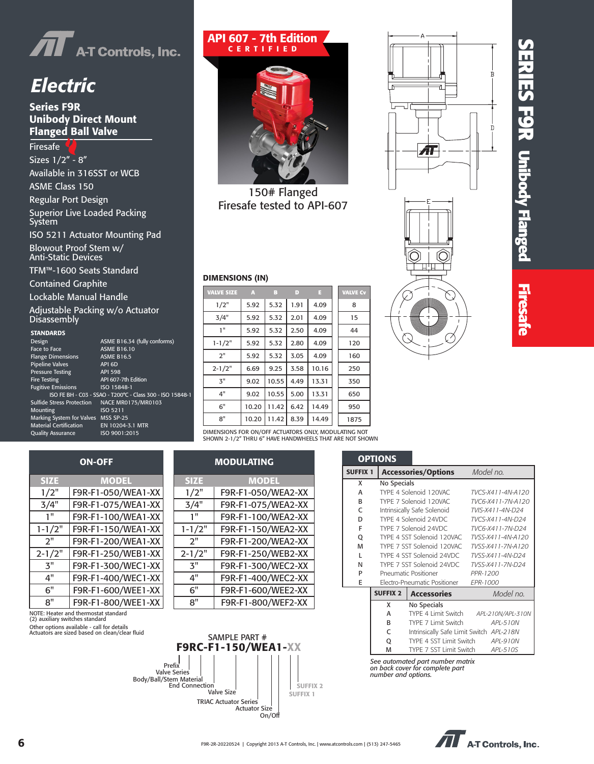

## *Electric*

#### Series F9R Unibody Direct Mount Flanged Ball Valve

**Firesafe** Sizes 1/2" - 8" Available in 316SST or WCB ASME Class 150 Regular Port Design Superior Live Loaded Packing System ISO 5211 Actuator Mounting Pad Blowout Proof Stem w/ Anti-Static Devices

TFM™-1600 Seats Standard

Contained Graphite

Lockable Manual Handle

Adjustable Packing w/o Actuator **Disassembly** 

NOTE: Heater and thermostat standard (2) auxiliary switches standard

#### **STANDARDS**

| Design                              | ASME B16.34 (fully confo                      |
|-------------------------------------|-----------------------------------------------|
| Face to Face                        | <b>ASME B16.10</b>                            |
| <b>Flange Dimensions</b>            | <b>ASME B16.5</b>                             |
| <b>Pipeline Valves</b>              | API 6D                                        |
| <b>Pressure Testing</b>             | <b>API 598</b>                                |
| <b>Fire Testing</b>                 | API 607-7th Edition                           |
| <b>Fugitive Emissions</b>           | ISO 15848-1                                   |
|                                     | ISO FE BH - C03 - SSAO - T200°C - Class 300 - |
| <b>Sulfide Stress Protection</b>    | NACE MR0175/MR0103                            |
| Mounting                            | ISO 5211                                      |
| Marking System for Valves MSS SP-25 |                                               |
| <b>Material Certification</b>       | EN 10204-3.1 MTR                              |
| <b>Quality Assurance</b>            | ISO 9001:2015                                 |

| SIANDARDS                           |                                                           |
|-------------------------------------|-----------------------------------------------------------|
| Design                              | ASME B16.34 (fully conforms)                              |
| <b>Face to Face</b>                 | <b>ASME B16.10</b>                                        |
| <b>Flange Dimensions</b>            | <b>ASME B16.5</b>                                         |
| Pipeline Valves                     | API 6D                                                    |
| <b>Pressure Testing</b>             | <b>API 598</b>                                            |
| <b>Fire Testing</b>                 | API 607-7th Edition                                       |
| <b>Fugitive Emissions</b>           | ISO 15848-1                                               |
|                                     | ISO FE BH - C03 - SSAO - T200°C - Class 300 - ISO 15848-1 |
| Sulfide Stress Protection           | NACE MR0175/MR0103                                        |
| Mounting                            | ISO 5211                                                  |
| Marking System for Valves MSS SP-25 |                                                           |
| <b>Material Certification</b>       | EN 10204-3.1 MTR                                          |
| <b>Quality Assurance</b>            | ISO 9001:2015                                             |

#### API 607 - 7th Edition CERTIFIED



150# Flanged Firesafe tested to API-607

#### DIMENSIONS (IN)

| <b>VALVE SIZE</b> | A     | B     | D    | E     | <b>VALVE Cv</b> |
|-------------------|-------|-------|------|-------|-----------------|
| 1/2"              | 5.92  | 5.32  | 1.91 | 4.09  | 8               |
| 3/4"              | 5.92  | 5.32  | 2.01 | 4.09  | 15              |
| 1"                | 5.92  | 5.32  | 2.50 | 4.09  | 44              |
| $1 - 1/2"$        | 5.92  | 5.32  | 2.80 | 4.09  | 120             |
| 2"                | 5.92  | 5.32  | 3.05 | 4.09  | 160             |
| $2 - 1/2"$        | 6.69  | 9.25  | 3.58 | 10.16 | 250             |
| 3"                | 9.02  | 10.55 | 4.49 | 13.31 | 350             |
| 4"                | 9.02  | 10.55 | 5.00 | 13.31 | 650             |
| 6"                | 10.20 | 11.42 | 6.42 | 14.49 | 950             |
| 8"                | 10.20 | 11.42 | 8.39 | 14.49 | 1875            |
|                   |       |       |      |       |                 |

DIMENSIONS FOR ON/OFF ACTUATORS ONLY, MODULATING NOT SHOWN 2-1/2" THRU 6" HAVE HANDWHEELS THAT ARE NOT SHOWN

| <b>ON-OFF</b> |                    |  |             | <b>MODULATING</b>  |
|---------------|--------------------|--|-------------|--------------------|
| <b>SIZE</b>   | <b>MODEL</b>       |  | <b>SIZE</b> | <b>MODEL</b>       |
| 1/2"          | F9R-F1-050/WEA1-XX |  | 1/2"        | F9R-F1-050/WEA2-XX |
| 3/4"          | F9R-F1-075/WEA1-XX |  | 3/4"        | F9R-F1-075/WEA2-XX |
| 1"            | F9R-F1-100/WEA1-XX |  | יי 1        | F9R-F1-100/WEA2-XX |
| $1 - 1/2"$    | F9R-F1-150/WEA1-XX |  | $1 - 1/2"$  | F9R-F1-150/WEA2-XX |
| 2"            | F9R-F1-200/WEA1-XX |  | 2"          | F9R-F1-200/WEA2-XX |
| $2 - 1/2"$    | F9R-F1-250/WEB1-XX |  | $2 - 1/2"$  | F9R-F1-250/WEB2-XX |
| 3"            | F9R-F1-300/WEC1-XX |  | 3"          | F9R-F1-300/WEC2-XX |
| 4"            | F9R-F1-400/WEC1-XX |  | 4"          | F9R-F1-400/WEC2-XX |
| 6"            | F9R-F1-600/WEE1-XX |  | 6"          | F9R-F1-600/WEE2-XX |
| 8"            | F9R-F1-800/WEE1-XX |  | 8"          | F9R-F1-800/WEF2-XX |





# **SERIES F 9 R Unibody Flanged Firesafe Firesa**

|                                                                                            | <b>OPTIONS</b>  |                                          |                   |  |  |
|--------------------------------------------------------------------------------------------|-----------------|------------------------------------------|-------------------|--|--|
| <b>SUFFIX 1</b>                                                                            |                 | <b>Accessories/Options</b>               | Model no.         |  |  |
| x                                                                                          | No Specials     |                                          |                   |  |  |
| A                                                                                          |                 | TYPE 4 Solenoid 120VAC                   | TVCS-X411-4N-A120 |  |  |
| <sub>R</sub>                                                                               |                 | TYPE 7 Solenoid 120VAC                   | TVC6-X411-7N-A120 |  |  |
| C                                                                                          |                 | Intrinsically Safe Solenoid              | TVIS-X411-4N-D24  |  |  |
| D                                                                                          |                 | TYPE 4 Solenoid 24VDC                    | TVCS-X411-4N-D24  |  |  |
| F                                                                                          |                 | TYPE 7 Solenoid 24VDC                    | TVC6-X411-7N-D24  |  |  |
| Q                                                                                          |                 | TYPE 4 SST Solenoid 120VAC               | TVSS-X411-4N-A120 |  |  |
| M                                                                                          |                 | TYPE 7 SST Solenoid 120VAC               | TVSS-X411-7N-A120 |  |  |
| L                                                                                          |                 | TYPE 4 SST Solenoid 24VDC                | TVSS-X411-4N-D24  |  |  |
| N                                                                                          |                 | TYPE 7 SST Solenoid 24VDC                | TVSS-X411-7N-D24  |  |  |
| P                                                                                          |                 | Pneumatic Positioner                     | PPR-1200          |  |  |
| E                                                                                          |                 | Electro-Pneumatic Positioner             | <b>FPR-1000</b>   |  |  |
|                                                                                            | <b>SUFFIX 2</b> | <b>Accessories</b>                       | Model no.         |  |  |
|                                                                                            | x               | No Specials                              |                   |  |  |
|                                                                                            | A               | TYPE 4 Limit Switch                      | APL-210N/APL-310N |  |  |
|                                                                                            | R               | TYPE 7 Limit Switch                      | APL-510N          |  |  |
|                                                                                            | $\mathsf{C}$    | Intrinsically Safe Limit Switch APL-218N |                   |  |  |
|                                                                                            | Q               | TYPE 4 SST Limit Switch                  | APL-910N          |  |  |
|                                                                                            | M               | TYPE 7 SST Limit Switch                  | APL-510S          |  |  |
| See automated part number matrix<br>on back cover for complete part<br>number and options. |                 |                                          |                   |  |  |

**AT** A-T Controls, Inc.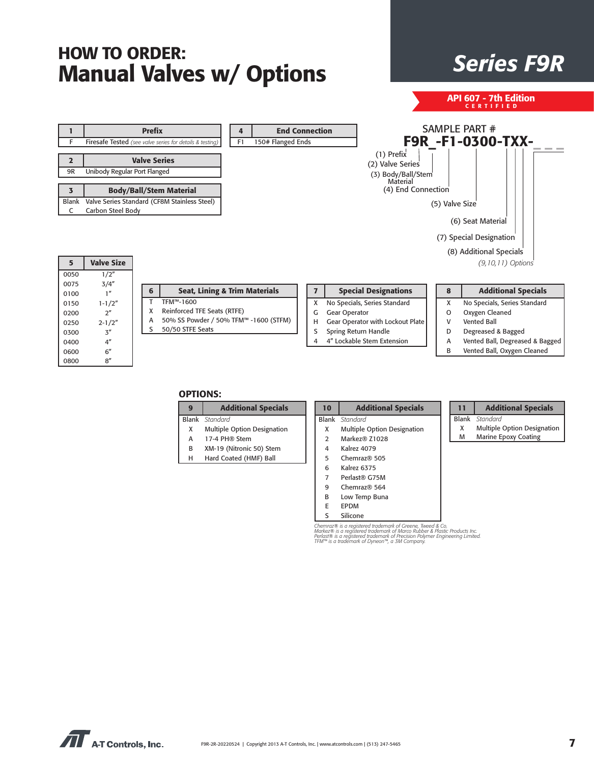## *Series F9R* HOW TO ORDER: Manual Valves w/ Options

API 607 - 7th Edition CERTIFIED

| Е                                            |                                                                                             | <b>Prefix</b><br><b>End Connection</b><br>4<br>150# Flanged Ends<br>Firesafe Tested (see valve series for details & testing)<br>F1                                                                                                                                                  |                                      | SAMPLE PART #<br><b>F9R -F1-0300-TXX-</b>                                                                                     |
|----------------------------------------------|---------------------------------------------------------------------------------------------|-------------------------------------------------------------------------------------------------------------------------------------------------------------------------------------------------------------------------------------------------------------------------------------|--------------------------------------|-------------------------------------------------------------------------------------------------------------------------------|
| 2<br>9R                                      | Unibody Regular Port Flanged                                                                | $(1)$ Prefix<br><b>Valve Series</b><br>(2) Valve Series                                                                                                                                                                                                                             | (3) Body/Ball/Stem<br>Material       |                                                                                                                               |
| $\overline{\mathbf{3}}$<br><b>Blank</b><br>C | Carbon Steel Body                                                                           | <b>Body/Ball/Stem Material</b><br>Valve Series Standard (CF8M Stainless Steel)                                                                                                                                                                                                      | (4) End Connection<br>(5) Valve Size |                                                                                                                               |
| 5                                            | <b>Valve Size</b>                                                                           |                                                                                                                                                                                                                                                                                     |                                      | (6) Seat Material<br>(7) Special Designation<br>(8) Additional Specials<br>$(9, 10, 11)$ Options                              |
| 0050<br>0075<br>0100                         | 1/2"<br>3/4''<br>1 <sup>n</sup>                                                             | <b>Seat, Lining &amp; Trim Materials</b><br><b>Special Designations</b><br>$\overline{ }$<br>6                                                                                                                                                                                      | 8                                    | <b>Additional Specials</b>                                                                                                    |
| 0150<br>0200<br>0250<br>0300<br>0400         | $1 - 1/2"$<br>2 <sup>n</sup><br>$2 - 1/2"$<br>$\mathbf{3}^{\prime\prime}$<br>4 <sup>n</sup> | TFM™-1600<br>No Specials, Series Standard<br>X<br>Reinforced TFE Seats (RTFE)<br>x<br>Gear Operator<br>G<br>50% SS Powder / 50% TFM™ -1600 (STFM)<br>Gear Operator with Lockout Plate<br>н<br>50/50 STFE Seats<br>s<br>Spring Return Handle<br>S<br>4" Lockable Stem Extension<br>4 | X<br>O<br>V<br>D<br>А                | No Specials, Series Standard<br>Oxygen Cleaned<br><b>Vented Ball</b><br>Degreased & Bagged<br>Vented Ball, Degreased & Bagged |
| 0600<br>0800                                 | 6''<br>8''                                                                                  |                                                                                                                                                                                                                                                                                     | B                                    | Vented Ball, Oxygen Cleaned                                                                                                   |

#### OPTIONS:

| g | <b>Additional Specials</b>         |
|---|------------------------------------|
|   | <b>Blank</b> Standard              |
| x | <b>Multiple Option Designation</b> |
| А | 17-4 PH® Stem                      |
| в | XM-19 (Nitronic 50) Stem           |
| н | Hard Coated (HMF) Ball             |

| 10             | <b>Additional Specials</b>  |
|----------------|-----------------------------|
|                | Blank Standard              |
| x              | Multiple Option Designation |
| $\mathcal{P}$  | Markez® Z1028               |
| 4              | Kalrez 4079                 |
| 5              | Chemraz® 505                |
| 6              | Kalrez 6375                 |
| $\overline{7}$ | Perlast® G75M               |
| q              | Chemraz® 564                |
|                | Low Temp Buna               |

| mraz® 564 |  |
|-----------|--|
| Temp Buna |  |
|           |  |

E EPDM S Silicone

Chemraz® is a registered trademark of Greene, Tweed & Co.<br>Markez® is a registered trademark of Marco Rubber & Plastic Products Inc.<br>Perlast® is a registered trademark of Precision Polymer Engineering Limited.<br>TFM™ is a tra

| 11 | <b>Additional Specials</b>  |
|----|-----------------------------|
|    | <b>Blank</b> Standard       |
| x  | Multiple Option Designation |
| M  | <b>Marine Epoxy Coating</b> |

| F            | <b>Firesafe Tested</b> (see valve series for deta |
|--------------|---------------------------------------------------|
|              |                                                   |
| $\mathbf{2}$ | <b>Valve Series</b>                               |
| 9R           | Unibody Regular Port Flanged                      |
|              |                                                   |
|              | <b>Body/Ball/Stem Materi</b>                      |
| <b>Blank</b> | Valve Series Standard (CF8M Staink                |
|              | Carbon Steel Body                                 |

| $\prod$ A-T Controls, Inc. |
|----------------------------|